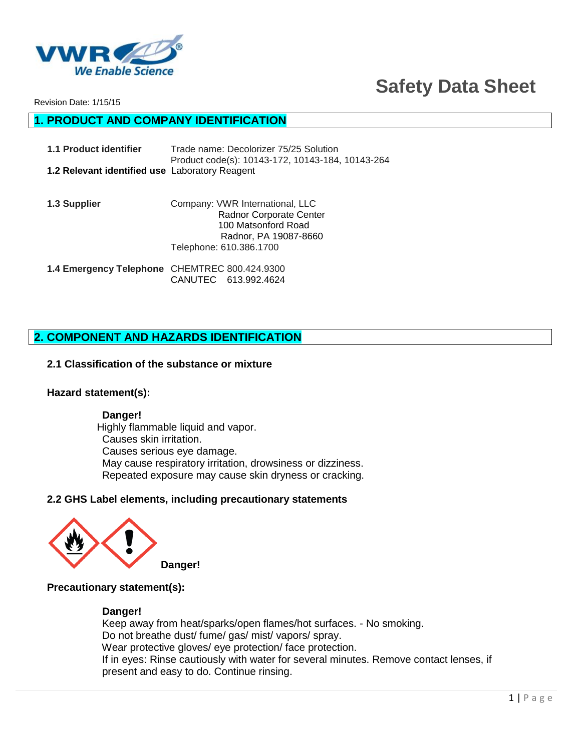

# **Safety Data Sheet**

Revision Date: 1/15/15

## **1. PRODUCT AND COMPANY IDENTIFICATION**

| 1.1 Product identifier                                | Trade name: Decolorizer 75/25 Solution           |
|-------------------------------------------------------|--------------------------------------------------|
|                                                       | Product code(s): 10143-172, 10143-184, 10143-264 |
| <b>1.2 Relevant identified use Laboratory Reagent</b> |                                                  |

**1.3 Supplier** Company: VWR International, LLC Radnor Corporate Center 100 Matsonford Road Radnor, PA 19087-8660 Telephone: 610.386.1700

**1.4 Emergency Telephone** CHEMTREC 800.424.9300 CANUTEC 613.992.4624

## **2. COMPONENT AND HAZARDS IDENTIFICATION**

#### **2.1 Classification of the substance or mixture**

#### **Hazard statement(s):**

#### **Danger!**

 Highly flammable liquid and vapor. Causes skin irritation. Causes serious eye damage. May cause respiratory irritation, drowsiness or dizziness. Repeated exposure may cause skin dryness or cracking.

#### **2.2 GHS Label elements, including precautionary statements**



#### **Precautionary statement(s):**

#### **Danger!**

 Keep away from heat/sparks/open flames/hot surfaces. - No smoking. Do not breathe dust/ fume/ gas/ mist/ vapors/ spray. Wear protective gloves/ eye protection/ face protection. If in eyes: Rinse cautiously with water for several minutes. Remove contact lenses, if present and easy to do. Continue rinsing.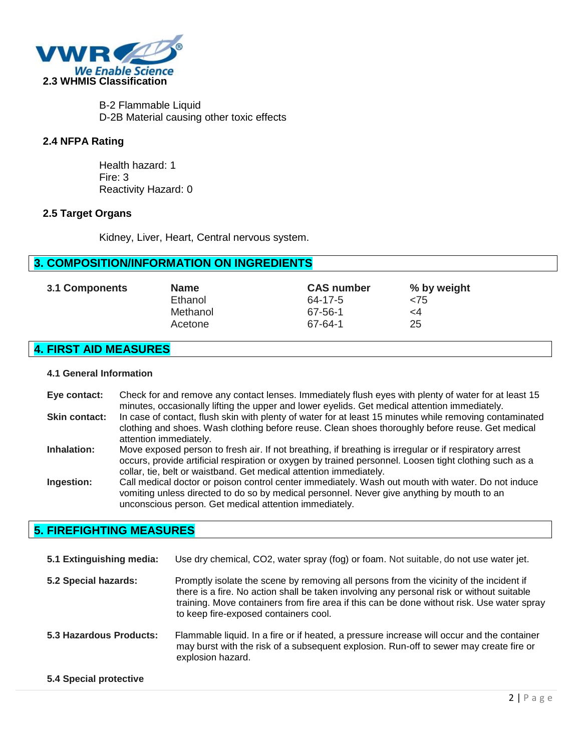

 B-2 Flammable Liquid D-2B Material causing other toxic effects

#### **2.4 NFPA Rating**

 Health hazard: 1 Fire: 3 Reactivity Hazard: 0

#### **2.5 Target Organs**

Kidney, Liver, Heart, Central nervous system.

## **3. COMPOSITION/INFORMATION ON INGREDIENTS**

| 3.1 Components | <b>Name</b> | <b>CAS number</b> | % by weight |
|----------------|-------------|-------------------|-------------|
|                | Ethanol     | 64-17-5           | $<$ 75      |
|                | Methanol    | 67-56-1           | <4          |
|                | Acetone     | 67-64-1           | 25          |
|                |             |                   |             |

#### **4. FIRST AID MEASURES**

#### **4.1 General Information**

**Eye contact:** Check for and remove any contact lenses. Immediately flush eyes with plenty of water for at least 15 minutes, occasionally lifting the upper and lower eyelids. Get medical attention immediately. **Skin contact:** In case of contact, flush skin with plenty of water for at least 15 minutes while removing contaminated clothing and shoes. Wash clothing before reuse. Clean shoes thoroughly before reuse. Get medical attention immediately. **Inhalation:** Move exposed person to fresh air. If not breathing, if breathing is irregular or if respiratory arrest occurs, provide artificial respiration or oxygen by trained personnel. Loosen tight clothing such as a collar, tie, belt or waistband. Get medical attention immediately. **Ingestion:** Call medical doctor or poison control center immediately. Wash out mouth with water. Do not induce vomiting unless directed to do so by medical personnel. Never give anything by mouth to an unconscious person. Get medical attention immediately.

## **5. FIREFIGHTING MEASURES**

| 5.1 Extinguishing media: | Use dry chemical, CO2, water spray (fog) or foam. Not suitable, do not use water jet.                                                                                                                                                                                                                                       |
|--------------------------|-----------------------------------------------------------------------------------------------------------------------------------------------------------------------------------------------------------------------------------------------------------------------------------------------------------------------------|
| 5.2 Special hazards:     | Promptly isolate the scene by removing all persons from the vicinity of the incident if<br>there is a fire. No action shall be taken involving any personal risk or without suitable<br>training. Move containers from fire area if this can be done without risk. Use water spray<br>to keep fire-exposed containers cool. |
| 5.3 Hazardous Products:  | Flammable liquid. In a fire or if heated, a pressure increase will occur and the container<br>may burst with the risk of a subsequent explosion. Run-off to sewer may create fire or<br>explosion hazard.                                                                                                                   |
| 5.4 Special protective   |                                                                                                                                                                                                                                                                                                                             |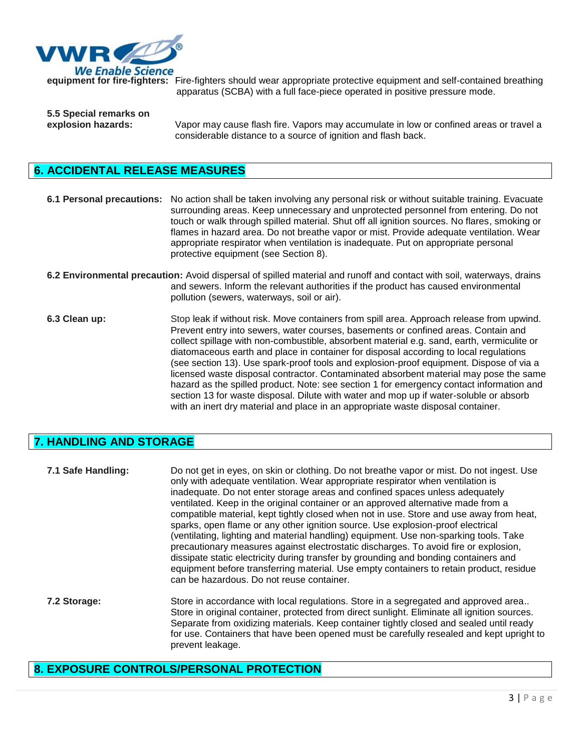

**equipment for fire-fighters:** Fire-fighters should wear appropriate protective equipment and self-contained breathing apparatus (SCBA) with a full face-piece operated in positive pressure mode.

**5.5 Special remarks on explosion hazards:** Vapor may cause flash fire. Vapors may accumulate in low or confined areas or travel a considerable distance to a source of ignition and flash back.

## **6. ACCIDENTAL RELEASE MEASURES**

**6.1 Personal precautions:** No action shall be taken involving any personal risk or without suitable training. Evacuate surrounding areas. Keep unnecessary and unprotected personnel from entering. Do not touch or walk through spilled material. Shut off all ignition sources. No flares, smoking or flames in hazard area. Do not breathe vapor or mist. Provide adequate ventilation. Wear appropriate respirator when ventilation is inadequate. Put on appropriate personal protective equipment (see Section 8).

- **6.2 Environmental precaution:** Avoid dispersal of spilled material and runoff and contact with soil, waterways, drains and sewers. Inform the relevant authorities if the product has caused environmental pollution (sewers, waterways, soil or air).
- **6.3 Clean up:** Stop leak if without risk. Move containers from spill area. Approach release from upwind. Prevent entry into sewers, water courses, basements or confined areas. Contain and collect spillage with non-combustible, absorbent material e.g. sand, earth, vermiculite or diatomaceous earth and place in container for disposal according to local regulations (see section 13). Use spark-proof tools and explosion-proof equipment. Dispose of via a licensed waste disposal contractor. Contaminated absorbent material may pose the same hazard as the spilled product. Note: see section 1 for emergency contact information and section 13 for waste disposal. Dilute with water and mop up if water-soluble or absorb with an inert dry material and place in an appropriate waste disposal container.

## **7. HANDLING AND STORAGE**

**7.1 Safe Handling:** Do not get in eyes, on skin or clothing. Do not breathe vapor or mist. Do not ingest. Use only with adequate ventilation. Wear appropriate respirator when ventilation is inadequate. Do not enter storage areas and confined spaces unless adequately ventilated. Keep in the original container or an approved alternative made from a compatible material, kept tightly closed when not in use. Store and use away from heat, sparks, open flame or any other ignition source. Use explosion-proof electrical (ventilating, lighting and material handling) equipment. Use non-sparking tools. Take precautionary measures against electrostatic discharges. To avoid fire or explosion, dissipate static electricity during transfer by grounding and bonding containers and equipment before transferring material. Use empty containers to retain product, residue can be hazardous. Do not reuse container. **7.2 Storage:** Store in accordance with local regulations. Store in a segregated and approved area.. Store in original container, protected from direct sunlight. Eliminate all ignition sources.

## Separate from oxidizing materials. Keep container tightly closed and sealed until ready for use. Containers that have been opened must be carefully resealed and kept upright to prevent leakage.

## **8. EXPOSURE CONTROLS/PERSONAL PROTECTION**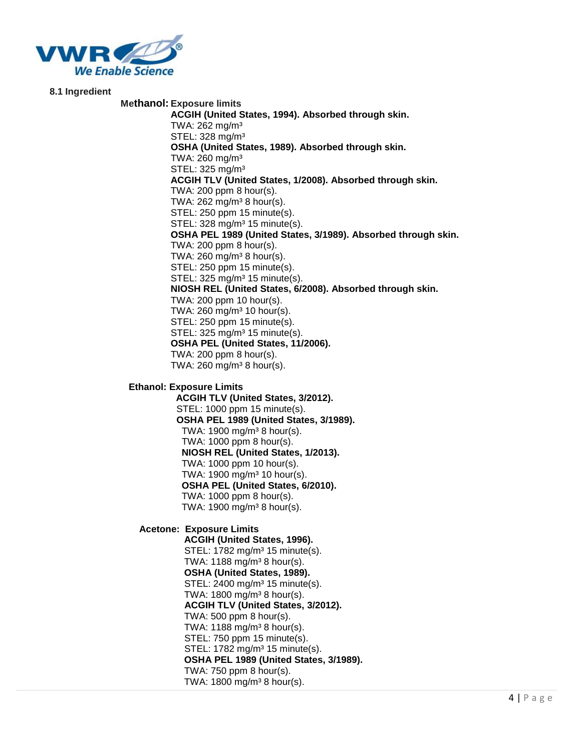

**8.1 Ingredient**

#### **Methanol: Exposure limits ACGIH (United States, 1994). Absorbed through skin.** TWA: 262 mg/m³ STEL: 328 mg/m³ **OSHA (United States, 1989). Absorbed through skin.** TWA:  $260$  mg/m<sup>3</sup> STEL: 325 mg/m³ **ACGIH TLV (United States, 1/2008). Absorbed through skin.** TWA: 200 ppm 8 hour(s). TWA:  $262$  mg/m<sup>3</sup> 8 hour(s). STEL: 250 ppm 15 minute(s). STEL: 328 mg/m<sup>3</sup> 15 minute(s). **OSHA PEL 1989 (United States, 3/1989). Absorbed through skin.** TWA: 200 ppm 8 hour(s). TWA:  $260 \text{ mg/m}^3$  8 hour(s). STEL: 250 ppm 15 minute(s). STEL: 325 mg/m³ 15 minute(s). **NIOSH REL (United States, 6/2008). Absorbed through skin.** TWA: 200 ppm 10 hour(s). TWA:  $260$  mg/m<sup>3</sup> 10 hour(s). STEL: 250 ppm 15 minute(s). STEL: 325 mg/m<sup>3</sup> 15 minute(s). **OSHA PEL (United States, 11/2006).** TWA: 200 ppm 8 hour(s). TWA:  $260$  mg/m<sup>3</sup> 8 hour(s).

**Ethanol: Exposure Limits**

 **ACGIH TLV (United States, 3/2012).** STEL: 1000 ppm 15 minute(s).  **OSHA PEL 1989 (United States, 3/1989).** TWA:  $1900 \text{ mg/m}^3$  8 hour(s). TWA: 1000 ppm 8 hour(s).  **NIOSH REL (United States, 1/2013).** TWA: 1000 ppm 10 hour(s). TWA: 1900 mg/m³ 10 hour(s).  **OSHA PEL (United States, 6/2010).** TWA: 1000 ppm 8 hour(s). TWA:  $1900 \text{ mg/m}^3$  8 hour(s).

**Acetone: Exposure Limits**

 **ACGIH (United States, 1996).** STEL: 1782 mg/m<sup>3</sup> 15 minute(s). TWA:  $1188 \text{ mg/m}^3$  8 hour(s). **OSHA (United States, 1989).** STEL: 2400 mg/m<sup>3</sup> 15 minute(s). TWA:  $1800 \text{ mg/m}^3$  8 hour(s). **ACGIH TLV (United States, 3/2012).** TWA: 500 ppm 8 hour(s). TWA:  $1188 \text{ mg/m}^3 8 \text{ hour(s)}$ . STEL: 750 ppm 15 minute(s). STEL: 1782 mg/m<sup>3</sup> 15 minute(s). **OSHA PEL 1989 (United States, 3/1989).** TWA: 750 ppm 8 hour(s). TWA:  $1800 \text{ mg/m}^3$  8 hour(s).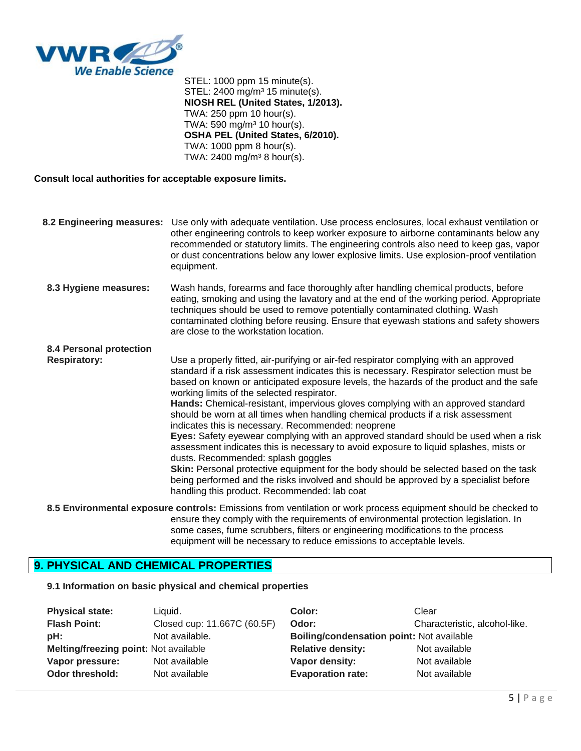

 STEL: 1000 ppm 15 minute(s). STEL: 2400 mg/m<sup>3</sup> 15 minute(s). **NIOSH REL (United States, 1/2013).** TWA: 250 ppm 10 hour(s). TWA: 590 mg/m $3$  10 hour(s). **OSHA PEL (United States, 6/2010).** TWA: 1000 ppm 8 hour(s). TWA:  $2400 \text{ mg/m}^3$  8 hour(s).

#### **Consult local authorities for acceptable exposure limits.**

| 8.2 Engineering measures:                      | Use only with adequate ventilation. Use process enclosures, local exhaust ventilation or<br>other engineering controls to keep worker exposure to airborne contaminants below any<br>recommended or statutory limits. The engineering controls also need to keep gas, vapor<br>or dust concentrations below any lower explosive limits. Use explosion-proof ventilation<br>equipment.                                                                                                                                                                                                                                                                                                                                                                                                                                                                                                                                                                                                                                |
|------------------------------------------------|----------------------------------------------------------------------------------------------------------------------------------------------------------------------------------------------------------------------------------------------------------------------------------------------------------------------------------------------------------------------------------------------------------------------------------------------------------------------------------------------------------------------------------------------------------------------------------------------------------------------------------------------------------------------------------------------------------------------------------------------------------------------------------------------------------------------------------------------------------------------------------------------------------------------------------------------------------------------------------------------------------------------|
| 8.3 Hygiene measures:                          | Wash hands, forearms and face thoroughly after handling chemical products, before<br>eating, smoking and using the lavatory and at the end of the working period. Appropriate<br>techniques should be used to remove potentially contaminated clothing. Wash<br>contaminated clothing before reusing. Ensure that eyewash stations and safety showers<br>are close to the workstation location.                                                                                                                                                                                                                                                                                                                                                                                                                                                                                                                                                                                                                      |
| 8.4 Personal protection<br><b>Respiratory:</b> | Use a properly fitted, air-purifying or air-fed respirator complying with an approved<br>standard if a risk assessment indicates this is necessary. Respirator selection must be<br>based on known or anticipated exposure levels, the hazards of the product and the safe<br>working limits of the selected respirator.<br>Hands: Chemical-resistant, impervious gloves complying with an approved standard<br>should be worn at all times when handling chemical products if a risk assessment<br>indicates this is necessary. Recommended: neoprene<br>Eyes: Safety eyewear complying with an approved standard should be used when a risk<br>assessment indicates this is necessary to avoid exposure to liquid splashes, mists or<br>dusts. Recommended: splash goggles<br><b>Skin:</b> Personal protective equipment for the body should be selected based on the task<br>being performed and the risks involved and should be approved by a specialist before<br>handling this product. Recommended: lab coat |

**8.5 Environmental exposure controls:** Emissions from ventilation or work process equipment should be checked to ensure they comply with the requirements of environmental protection legislation. In some cases, fume scrubbers, filters or engineering modifications to the process equipment will be necessary to reduce emissions to acceptable levels.

#### **9. PHYSICAL AND CHEMICAL PROPERTIES**

**9.1 Information on basic physical and chemical properties**

| <b>Physical state:</b>                | Liauid.                     | Color:                                    | Clear                         |
|---------------------------------------|-----------------------------|-------------------------------------------|-------------------------------|
| <b>Flash Point:</b>                   | Closed cup: 11.667C (60.5F) | Odor:                                     | Characteristic, alcohol-like. |
| pH:                                   | Not available.              | Boiling/condensation point: Not available |                               |
| Melting/freezing point: Not available |                             | <b>Relative density:</b>                  | Not available                 |
| Vapor pressure:                       | Not available               | Vapor density:                            | Not available                 |
| Odor threshold:                       | Not available               | <b>Evaporation rate:</b>                  | Not available                 |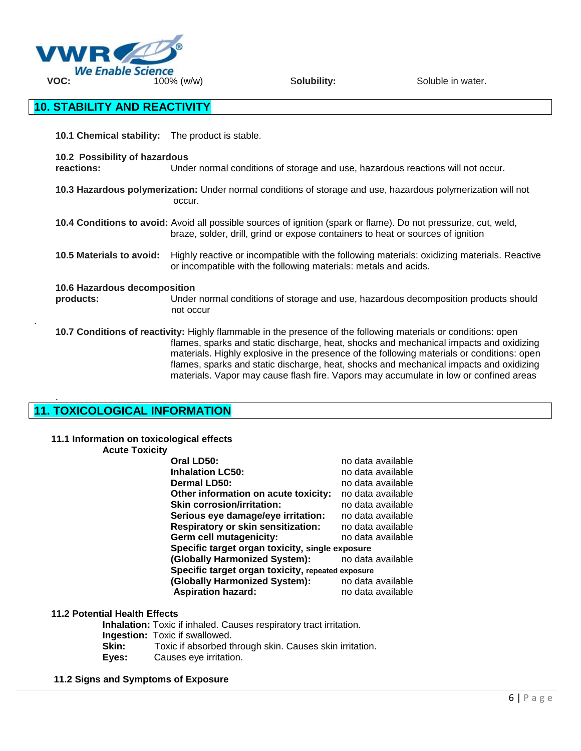

## **10. STABILITY AND REACTIVITY**

**10.1 Chemical stability:** The product is stable.

 **10.2 Possibility of hazardous**

 **reactions:** Under normal conditions of storage and use, hazardous reactions will not occur.

 **10.3 Hazardous polymerization:** Under normal conditions of storage and use, hazardous polymerization will not occur.

 **10.4 Conditions to avoid:** Avoid all possible sources of ignition (spark or flame). Do not pressurize, cut, weld, braze, solder, drill, grind or expose containers to heat or sources of ignition

 **10.5 Materials to avoid:** Highly reactive or incompatible with the following materials: oxidizing materials. Reactive or incompatible with the following materials: metals and acids.

#### **10.6 Hazardous decomposition**

.

.

 **products:** Under normal conditions of storage and use, hazardous decomposition products should not occur

 **10.7 Conditions of reactivity:** Highly flammable in the presence of the following materials or conditions: open flames, sparks and static discharge, heat, shocks and mechanical impacts and oxidizing materials. Highly explosive in the presence of the following materials or conditions: open flames, sparks and static discharge, heat, shocks and mechanical impacts and oxidizing materials. Vapor may cause flash fire. Vapors may accumulate in low or confined areas

## **11. TOXICOLOGICAL INFORMATION**

#### **11.1 Information on toxicological effects**

#### **Acute Toxicity**

| Oral LD50:                                        | no data available |
|---------------------------------------------------|-------------------|
| <b>Inhalation LC50:</b>                           | no data available |
| Dermal LD50:                                      | no data available |
| Other information on acute toxicity:              | no data available |
| <b>Skin corrosion/irritation:</b>                 | no data available |
| Serious eye damage/eye irritation:                | no data available |
| <b>Respiratory or skin sensitization:</b>         | no data available |
| Germ cell mutagenicity:                           | no data available |
| Specific target organ toxicity, single exposure   |                   |
| (Globally Harmonized System):                     | no data available |
| Specific target organ toxicity, repeated exposure |                   |
| (Globally Harmonized System):                     | no data available |
| <b>Aspiration hazard:</b>                         | no data available |

#### **11.2 Potential Health Effects**

**Inhalation:** Toxic if inhaled. Causes respiratory tract irritation. **Ingestion:** Toxic if swallowed. **Skin:** Toxic if absorbed through skin. Causes skin irritation. **Eyes:** Causes eye irritation.

#### **11.2 Signs and Symptoms of Exposure**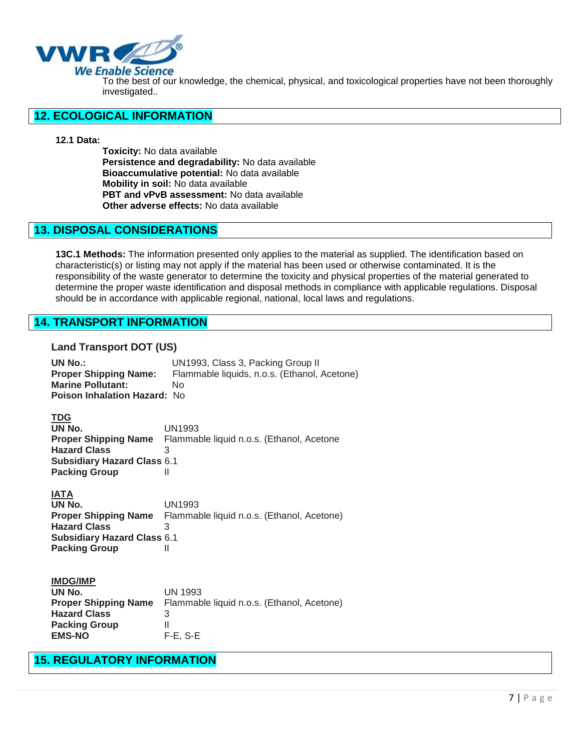

To the best of our knowledge, the chemical, physical, and toxicological properties have not been thoroughly investigated..

#### **12. ECOLOGICAL INFORMATION**

#### **12.1 Data:**

 **Toxicity:** No data available **Persistence and degradability:** No data available **Bioaccumulative potential:** No data available **Mobility in soil:** No data available **PBT and vPvB assessment:** No data available **Other adverse effects:** No data available

#### **13. DISPOSAL CONSIDERATIONS**

**13C.1 Methods:** The information presented only applies to the material as supplied. The identification based on characteristic(s) or listing may not apply if the material has been used or otherwise contaminated. It is the responsibility of the waste generator to determine the toxicity and physical properties of the material generated to determine the proper waste identification and disposal methods in compliance with applicable regulations. Disposal should be in accordance with applicable regional, national, local laws and regulations.

### **14. TRANSPORT INFORMATION**

#### **Land Transport DOT (US)**

| <b>UN No.:</b><br>Proper Shipping Name:<br><b>Marine Pollutant:</b><br><b>Poison Inhalation Hazard: No</b> | UN1993, Class 3, Packing Group II<br>Flammable liquids, n.o.s. (Ethanol, Acetone)<br>No    |
|------------------------------------------------------------------------------------------------------------|--------------------------------------------------------------------------------------------|
| <b>TDG</b><br>UN No.<br><b>Hazard Class</b><br><b>Subsidiary Hazard Class 6.1</b><br><b>Packing Group</b>  | UN1993<br><b>Proper Shipping Name</b> Flammable liquid n.o.s. (Ethanol, Acetone<br>3<br>Ш  |
| <b>IATA</b><br>UN No.<br><b>Hazard Class</b><br><b>Subsidiary Hazard Class 6.1</b><br><b>Packing Group</b> | UN1993<br><b>Proper Shipping Name</b> Flammable liquid n.o.s. (Ethanol, Acetone)<br>3<br>Ш |
| <b>IMDG/IMP</b>                                                                                            |                                                                                            |

| UN No.                      | UN 1993                                    |
|-----------------------------|--------------------------------------------|
| <b>Proper Shipping Name</b> | Flammable liquid n.o.s. (Ethanol, Acetone) |
| <b>Hazard Class</b>         | З                                          |
| <b>Packing Group</b>        |                                            |
| <b>EMS-NO</b>               | $F-E. S-E$                                 |
|                             |                                            |

## **15. REGULATORY INFORMATION**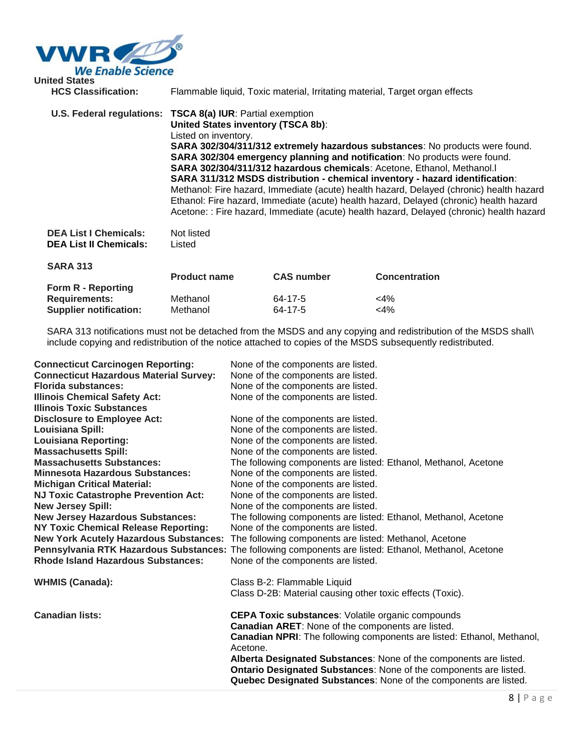

| <b>United States</b><br><b>HCS Classification:</b>            | Flammable liquid, Toxic material, Irritating material, Target organ effects                                                                                                                                                                                                                                                                                                                                                                                                                                                                                                                                                                                                                                                            |
|---------------------------------------------------------------|----------------------------------------------------------------------------------------------------------------------------------------------------------------------------------------------------------------------------------------------------------------------------------------------------------------------------------------------------------------------------------------------------------------------------------------------------------------------------------------------------------------------------------------------------------------------------------------------------------------------------------------------------------------------------------------------------------------------------------------|
|                                                               | U.S. Federal regulations: TSCA 8(a) IUR: Partial exemption<br><b>United States inventory (TSCA 8b):</b><br>Listed on inventory.<br>SARA 302/304/311/312 extremely hazardous substances: No products were found.<br>SARA 302/304 emergency planning and notification: No products were found.<br>SARA 302/304/311/312 hazardous chemicals: Acetone, Ethanol, Methanol.<br>SARA 311/312 MSDS distribution - chemical inventory - hazard identification:<br>Methanol: Fire hazard, Immediate (acute) health hazard, Delayed (chronic) health hazard<br>Ethanol: Fire hazard, Immediate (acute) health hazard, Delayed (chronic) health hazard<br>Acetone: : Fire hazard, Immediate (acute) health hazard, Delayed (chronic) health hazard |
| <b>DEA List I Chemicals:</b><br><b>DEA List II Chemicals:</b> | Not listed<br>Listed                                                                                                                                                                                                                                                                                                                                                                                                                                                                                                                                                                                                                                                                                                                   |

| <b>SARA 313</b>               |                     |                   |                      |
|-------------------------------|---------------------|-------------------|----------------------|
|                               | <b>Product name</b> | <b>CAS number</b> | <b>Concentration</b> |
| Form R - Reporting            |                     |                   |                      |
| <b>Requirements:</b>          | Methanol            | 64-17-5           | $<$ 4%               |
| <b>Supplier notification:</b> | Methanol            | 64-17-5           | $<$ 4%               |

SARA 313 notifications must not be detached from the MSDS and any copying and redistribution of the MSDS shall\ include copying and redistribution of the notice attached to copies of the MSDS subsequently redistributed.

| <b>Connecticut Carcinogen Reporting:</b>      | None of the components are listed.                                                                     |
|-----------------------------------------------|--------------------------------------------------------------------------------------------------------|
| <b>Connecticut Hazardous Material Survey:</b> | None of the components are listed.                                                                     |
| <b>Florida substances:</b>                    | None of the components are listed.                                                                     |
| <b>Illinois Chemical Safety Act:</b>          | None of the components are listed.                                                                     |
| <b>Illinois Toxic Substances</b>              |                                                                                                        |
| <b>Disclosure to Employee Act:</b>            | None of the components are listed.                                                                     |
| Louisiana Spill:                              | None of the components are listed.                                                                     |
| <b>Louisiana Reporting:</b>                   | None of the components are listed.                                                                     |
| <b>Massachusetts Spill:</b>                   | None of the components are listed.                                                                     |
| <b>Massachusetts Substances:</b>              | The following components are listed: Ethanol, Methanol, Acetone                                        |
| <b>Minnesota Hazardous Substances:</b>        | None of the components are listed.                                                                     |
| <b>Michigan Critical Material:</b>            | None of the components are listed.                                                                     |
| <b>NJ Toxic Catastrophe Prevention Act:</b>   | None of the components are listed.                                                                     |
| <b>New Jersey Spill:</b>                      | None of the components are listed.                                                                     |
| <b>New Jersey Hazardous Substances:</b>       | The following components are listed: Ethanol, Methanol, Acetone                                        |
| <b>NY Toxic Chemical Release Reporting:</b>   | None of the components are listed.                                                                     |
| <b>New York Acutely Hazardous Substances:</b> | The following components are listed: Methanol, Acetone                                                 |
|                                               | Pennsylvania RTK Hazardous Substances: The following components are listed: Ethanol, Methanol, Acetone |
| <b>Rhode Island Hazardous Substances:</b>     | None of the components are listed.                                                                     |
|                                               |                                                                                                        |
| <b>WHMIS (Canada):</b>                        | Class B-2: Flammable Liquid                                                                            |
|                                               | Class D-2B: Material causing other toxic effects (Toxic).                                              |
|                                               |                                                                                                        |
| <b>Canadian lists:</b>                        | <b>CEPA Toxic substances: Volatile organic compounds</b>                                               |
|                                               | Canadian ARET: None of the components are listed.                                                      |
|                                               | <b>Canadian NPRI:</b> The following components are listed: Ethanol, Methanol,                          |
|                                               | Acetone.                                                                                               |
|                                               | Alberta Designated Substances: None of the components are listed.                                      |
|                                               | Ontario Designated Substances: None of the components are listed.                                      |
|                                               | Quebec Designated Substances: None of the components are listed.                                       |
|                                               |                                                                                                        |